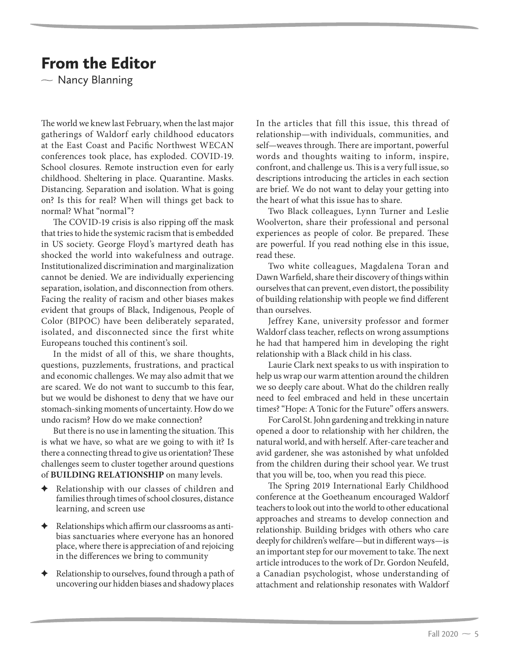## From the Editor

 $\sim$  Nancy Blanning

The world we knew last February, when the last major gatherings of Waldorf early childhood educators at the East Coast and Pacific Northwest WECAN conferences took place, has exploded. COVID-19. School closures. Remote instruction even for early childhood. Sheltering in place. Quarantine. Masks. Distancing. Separation and isolation. What is going on? Is this for real? When will things get back to normal? What "normal"?

The COVID-19 crisis is also ripping off the mask that tries to hide the systemic racism that is embedded in US society. George Floyd's martyred death has shocked the world into wakefulness and outrage. Institutionalized discrimination and marginalization cannot be denied. We are individually experiencing separation, isolation, and disconnection from others. Facing the reality of racism and other biases makes evident that groups of Black, Indigenous, People of Color (BIPOC) have been deliberately separated, isolated, and disconnected since the first white Europeans touched this continent's soil.

In the midst of all of this, we share thoughts, questions, puzzlements, frustrations, and practical and economic challenges. We may also admit that we are scared. We do not want to succumb to this fear, but we would be dishonest to deny that we have our stomach-sinking moments of uncertainty. How do we undo racism? How do we make connection?

But there is no use in lamenting the situation. This is what we have, so what are we going to with it? Is there a connecting thread to give us orientation? These challenges seem to cluster together around questions of **BUILDING RELATIONSHIP** on many levels.

- Relationship with our classes of children and families through times of school closures, distance learning, and screen use
- Relationships which affirm our classrooms as antibias sanctuaries where everyone has an honored place, where there is appreciation of and rejoicing in the differences we bring to community
- Relationship to ourselves, found through a path of uncovering our hidden biases and shadowy places

In the articles that fill this issue, this thread of relationship—with individuals, communities, and self—weaves through. There are important, powerful words and thoughts waiting to inform, inspire, confront, and challenge us. This is a very full issue, so descriptions introducing the articles in each section are brief. We do not want to delay your getting into the heart of what this issue has to share.

Two Black colleagues, Lynn Turner and Leslie Woolverton, share their professional and personal experiences as people of color. Be prepared. These are powerful. If you read nothing else in this issue, read these.

Two white colleagues, Magdalena Toran and Dawn Warfield, share their discovery of things within ourselves that can prevent, even distort, the possibility of building relationship with people we find different than ourselves.

Jeffrey Kane, university professor and former Waldorf class teacher, reflects on wrong assumptions he had that hampered him in developing the right relationship with a Black child in his class.

Laurie Clark next speaks to us with inspiration to help us wrap our warm attention around the children we so deeply care about. What do the children really need to feel embraced and held in these uncertain times? "Hope: A Tonic for the Future" offers answers.

For Carol St. John gardening and trekking in nature opened a door to relationship with her children, the natural world, and with herself. After-care teacher and avid gardener, she was astonished by what unfolded from the children during their school year. We trust that you will be, too, when you read this piece.

The Spring 2019 International Early Childhood conference at the Goetheanum encouraged Waldorf teachers to look out into the world to other educational approaches and streams to develop connection and relationship. Building bridges with others who care deeply for children's welfare—but in different ways—is an important step for our movement to take. The next article introduces to the work of Dr. Gordon Neufeld, a Canadian psychologist, whose understanding of attachment and relationship resonates with Waldorf